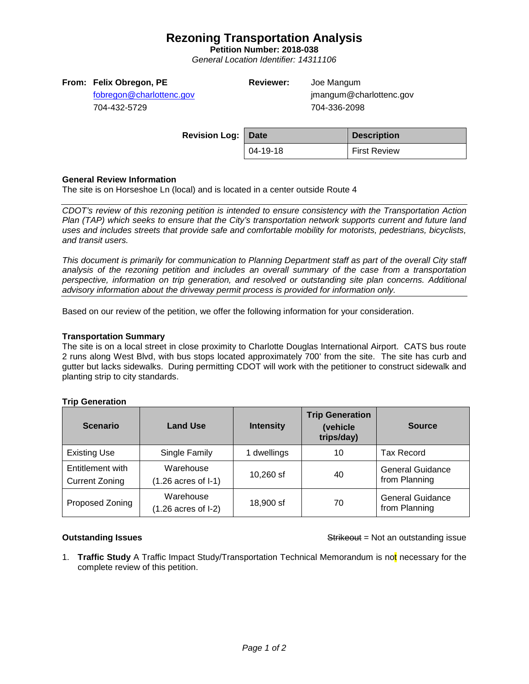# **Rezoning Transportation Analysis**

**Petition Number: 2018-038**

*General Location Identifier: 14311106*

# **From: Felix Obregon, PE**

[fobregon@charlottenc.gov](mailto:fobregon@charlottenc.gov) 704-432-5729

**Reviewer:** Joe Mangum

jmangum@charlottenc.gov 704-336-2098

| <b>Revision Log: Date</b> |          | <b>Description</b>  |
|---------------------------|----------|---------------------|
|                           | 04-19-18 | <b>First Review</b> |

## **General Review Information**

The site is on Horseshoe Ln (local) and is located in a center outside Route 4

*CDOT's review of this rezoning petition is intended to ensure consistency with the Transportation Action Plan (TAP) which seeks to ensure that the City's transportation network supports current and future land uses and includes streets that provide safe and comfortable mobility for motorists, pedestrians, bicyclists, and transit users.*

*This document is primarily for communication to Planning Department staff as part of the overall City staff analysis of the rezoning petition and includes an overall summary of the case from a transportation perspective, information on trip generation, and resolved or outstanding site plan concerns. Additional advisory information about the driveway permit process is provided for information only.*

Based on our review of the petition, we offer the following information for your consideration.

## **Transportation Summary**

The site is on a local street in close proximity to Charlotte Douglas International Airport. CATS bus route 2 runs along West Blvd, with bus stops located approximately 700' from the site. The site has curb and gutter but lacks sidewalks. During permitting CDOT will work with the petitioner to construct sidewalk and planting strip to city standards.

# **Trip Generation**

| <b>Scenario</b>                           | <b>Land Use</b>                             | <b>Intensity</b> | <b>Trip Generation</b><br>(vehicle<br>trips/day) | <b>Source</b>                            |
|-------------------------------------------|---------------------------------------------|------------------|--------------------------------------------------|------------------------------------------|
| <b>Existing Use</b>                       | Single Family                               | 1 dwellings      | 10                                               | <b>Tax Record</b>                        |
| Entitlement with<br><b>Current Zoning</b> | Warehouse<br>$(1.26 \text{ acres of } I-1)$ | 10,260 sf        | 40                                               | <b>General Guidance</b><br>from Planning |
| Proposed Zoning                           | Warehouse<br>$(1.26 \text{ acres of } I-2)$ | 18,900 sf        | 70                                               | <b>General Guidance</b><br>from Planning |

**Outstanding Issues Contains a Strike of the Strike of Australian Strike of Australian Strike of Australian Strike of Australian Strike of Australian Strike of Australian Strike of Australian Strike of Australian Strike** 

1. **Traffic Study** A Traffic Impact Study/Transportation Technical Memorandum is not necessary for the complete review of this petition.